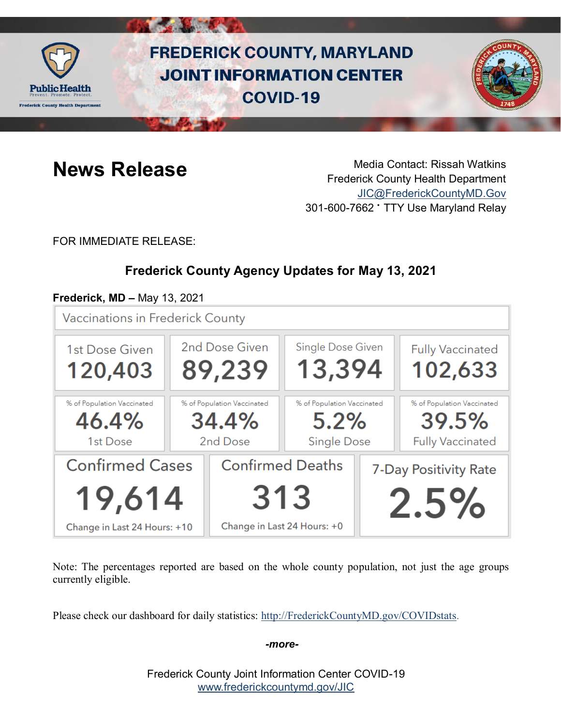

# **FREDERICK COUNTY, MARYLAND JOINT INFORMATION CENTER COVID-19**



**News Release** Media Contact: Rissah Watkins Frederick County Health Department [JIC@FrederickCountyMD.Gov](mailto:JIC@FrederickCountyMD.Gov) 301-600-7662 • TTY Use Maryland Relay

FOR IMMEDIATE RELEASE:

# **Frederick County Agency Updates for May 13, 2021**

#### **Frederick, MD –** May 13, 2021

**Vaccinations in Frederick County** 



Note: The percentages reported are based on the whole county population, not just the age groups currently eligible.

Please check our dashboard for daily statistics: [http://FrederickCountyMD.gov/COVIDstats.](http://frederickcountymd.gov/COVIDstats)

#### *-more-*

Frederick County Joint Information Center COVID-19 [www.frederickcountymd.gov/JIC](https://frederickcountymd.gov/JIC)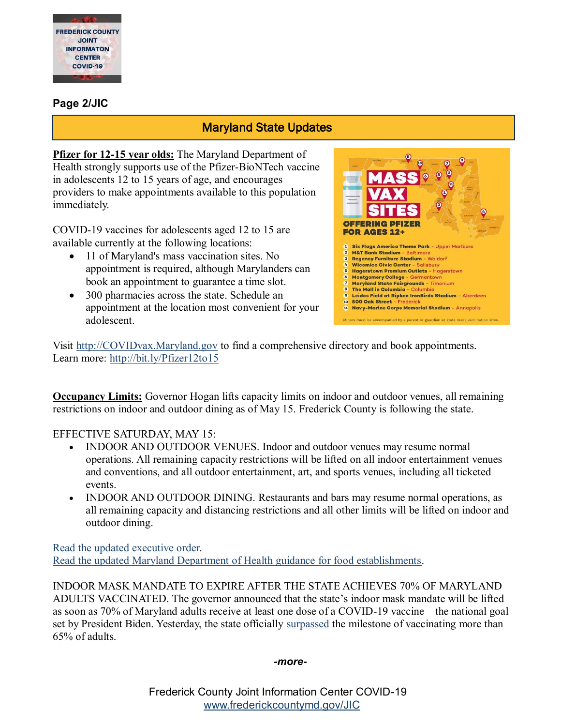

#### **Page 2/JIC**

#### Maryland State Updates

**Pfizer for 12-15 year olds:** The Maryland Department of Health strongly supports use of the Pfizer-BioNTech vaccine in adolescents 12 to 15 years of age, and encourages providers to make appointments available to this population immediately.

COVID-19 vaccines for adolescents aged 12 to 15 are available currently at the following locations:

- 11 of Maryland's mass vaccination sites. No appointment is required, although Marylanders can book an appointment to guarantee a time slot.
- 300 pharmacies across the state. Schedule an appointment at the location most convenient for your adolescent.



Visit [http://COVIDvax.Maryland.gov](http://covidvax.maryland.gov/) to find a comprehensive directory and book appointments. Learn more:<http://bit.ly/Pfizer12to15>

**Occupancy Limits:** Governor Hogan lifts capacity limits on indoor and outdoor venues, all remaining restrictions on indoor and outdoor dining as of May 15. Frederick County is following the state.

EFFECTIVE SATURDAY, MAY 15:

- INDOOR AND OUTDOOR VENUES. Indoor and outdoor venues may resume normal operations. All remaining capacity restrictions will be lifted on all indoor entertainment venues and conventions, and all outdoor entertainment, art, and sports venues, including all ticketed events.
- INDOOR AND OUTDOOR DINING. Restaurants and bars may resume normal operations, as all remaining capacity and distancing restrictions and all other limits will be lifted on indoor and outdoor dining.

[Read the updated executive order.](https://urldefense.com/v3/__https:/lnks.gd/l/eyJhbGciOiJIUzI1NiJ9.eyJidWxsZXRpbl9saW5rX2lkIjoxMDQsInVyaSI6ImJwMjpjbGljayIsImJ1bGxldGluX2lkIjoiMjAyMTA1MTIuNDAzODEyMjEiLCJ1cmwiOiJodHRwczovL2dvdmVybm9yLm1hcnlsYW5kLmdvdi93cC1jb250ZW50L3VwbG9hZHMvMjAyMS8wNS9TY2FubmVkLWZyb20tYS1YZXJveC1NdWx0aWZ1bmN0aW9uLVByaW50ZXItNzYucGRmIn0.0qDALEXMhGgzB6nn-aSHjUsrAF3saE4CqyjiMnsMuBY/s/527545982/br/106284114562-l__;!!I2-OFBIJoQBJqqeup9g!WZA77W31hNpTLFv8G7T7PZrT2fvaa3iiCdZTfTwsp6ZXPJQ33NSGYSx1gsXm2-0GDVeAl1lNljs$) [Read the updated Maryland Department of Health guidance for food establishments.](https://urldefense.com/v3/__https:/lnks.gd/l/eyJhbGciOiJIUzI1NiJ9.eyJidWxsZXRpbl9saW5rX2lkIjoxMDUsInVyaSI6ImJwMjpjbGljayIsImJ1bGxldGluX2lkIjoiMjAyMTA1MTIuNDAzODEyMjEiLCJ1cmwiOiJodHRwczovL3BocGEuaGVhbHRoLm1hcnlsYW5kLmdvdi9Eb2N1bWVudHMvTk9USUNFJTIwLSUyMEZvb2QlMjBTZXJ2aWNlLCUyMFJldGFpbCwlMjBhbmQlMjBQZXJzb25hbCUyMFNlcnZpY2UlMjBFc3RhYmxpc2htZW50cy5wZGYifQ.gWkUD77YmmFqq2CcExSCbcrFRq971XCKCn2omQTq4SE/s/527545982/br/106284114562-l__;!!I2-OFBIJoQBJqqeup9g!WZA77W31hNpTLFv8G7T7PZrT2fvaa3iiCdZTfTwsp6ZXPJQ33NSGYSx1gsXm2-0GDVeAW6jDKTE$)

INDOOR MASK MANDATE TO EXPIRE AFTER THE STATE ACHIEVES 70% OF MARYLAND ADULTS VACCINATED. The governor announced that the state's indoor mask mandate will be lifted as soon as 70% of Maryland adults receive at least one dose of a COVID-19 vaccine—the national goal set by President Biden. Yesterday, the state officially [surpassed](https://governor.maryland.gov/2021/05/11/vaccine-milestone-65-of-maryland-adults-have-received-at-least-one-dose/) the milestone of vaccinating more than 65% of adults.

*-more-*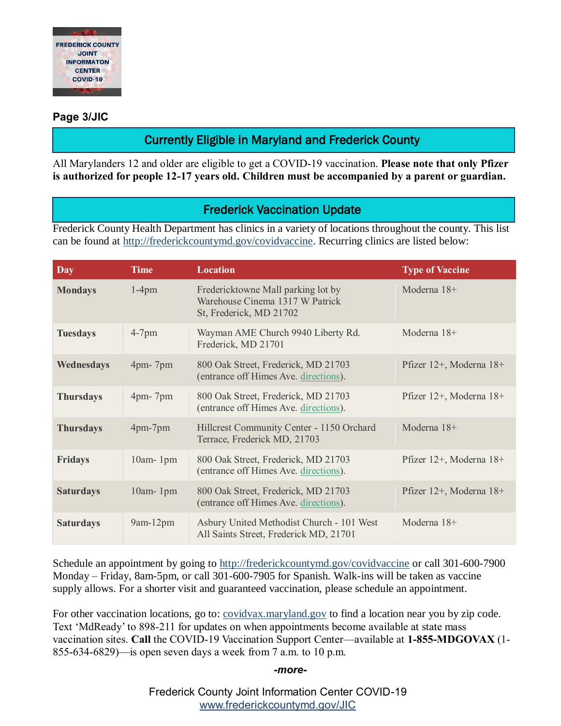

#### **Page 3/JIC**

# Currently Eligible in Maryland and Frederick County

All Marylanders 12 and older are eligible to get a COVID-19 vaccination. **Please note that only Pfizer is authorized for people 12-17 years old. Children must be accompanied by a parent or guardian.**

### Frederick Vaccination Update

Frederick County Health Department has clinics in a variety of locations throughout the county. This list can be found at [http://frederickcountymd.gov/covidvaccine.](https://t.co/Kpu8oYothe?amp=1) Recurring clinics are listed below:

| <b>Day</b>       | <b>Time</b>     | <b>Location</b>                                                                                  | <b>Type of Vaccine</b>  |
|------------------|-----------------|--------------------------------------------------------------------------------------------------|-------------------------|
| <b>Mondays</b>   | $1-4$ pm        | Fredericktowne Mall parking lot by<br>Warehouse Cinema 1317 W Patrick<br>St, Frederick, MD 21702 | Moderna 18+             |
| <b>Tuesdays</b>  | $4-7$ pm        | Wayman AME Church 9940 Liberty Rd.<br>Frederick, MD 21701                                        | Moderna 18+             |
| Wednesdays       | $4pm-7pm$       | 800 Oak Street, Frederick, MD 21703<br>(entrance off Himes Ave. directions).                     | Pfizer 12+, Moderna 18+ |
| <b>Thursdays</b> | $4$ pm - $7$ pm | 800 Oak Street, Frederick, MD 21703<br>(entrance off Himes Ave. directions).                     | Pfizer 12+, Moderna 18+ |
| <b>Thursdays</b> | 4pm-7pm         | Hillcrest Community Center - 1150 Orchard<br>Terrace, Frederick MD, 21703                        | Moderna $18+$           |
| <b>Fridays</b>   | $10am-1pm$      | 800 Oak Street, Frederick, MD 21703<br>(entrance off Himes Ave. directions).                     | Pfizer 12+, Moderna 18+ |
| <b>Saturdays</b> | 10am-1pm        | 800 Oak Street, Frederick, MD 21703<br>(entrance off Himes Ave. directions).                     | Pfizer 12+, Moderna 18+ |
| <b>Saturdays</b> | $9am-12pm$      | Asbury United Methodist Church - 101 West<br>All Saints Street, Frederick MD, 21701              | Moderna 18+             |

Schedule an appointment by going to [http://frederickcountymd.gov/covidvaccine](https://t.co/Kpu8oYothe?amp=1) or call 301-600-7900 Monday – Friday, 8am-5pm, or call 301-600-7905 for Spanish. Walk-ins will be taken as vaccine supply allows. For a shorter visit and guaranteed vaccination, please schedule an appointment.

For other vaccination locations, go to: <u>covidvax.maryland.gov</u> to find a location near you by zip code. Text 'MdReady' to 898-211 for updates on when appointments become available at state mass vaccination sites. **Call** the COVID-19 Vaccination Support Center—available at **1-855-MDGOVAX** (1- 855-634-6829)—is open seven days a week from 7 a.m. to 10 p.m.

#### *-more-*

Frederick County Joint Information Center COVID-19 [www.frederickcountymd.gov/JIC](https://frederickcountymd.gov/JIC)